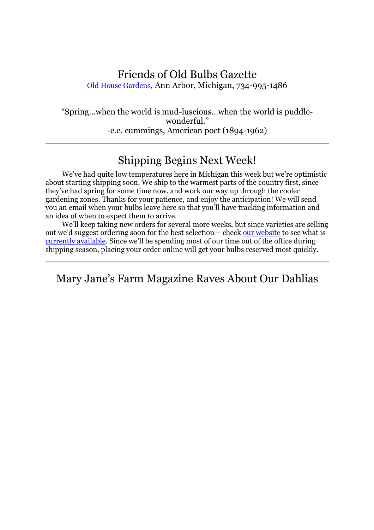#### Friends of Old Bulbs Gazette Old House Gardens, Ann Arbor, Michigan, 734-995-1486

"Spring…when the world is mud-luscious…when the world is puddlewonderful." -e.e. cummings, American poet (1894-1962)

## Shipping Begins Next Week!

We've had quite low temperatures here in Michigan this week but we're optimistic about starting shipping soon. We ship to the warmest parts of the country first, since they've had spring for some time now, and work our way up through the cooler gardening zones. Thanks for your patience, and enjoy the anticipation! We will send you an email when your bulbs leave here so that you'll have tracking information and an idea of when to expect them to arrive.

We'll keep taking new orders for several more weeks, but since varieties are selling out we'd suggest ordering soon for the best selection – check our website to see what is currently available. Since we'll be spending most of our time out of the office during shipping season, placing your order online will get your bulbs reserved most quickly.

Mary Jane's Farm Magazine Raves About Our Dahlias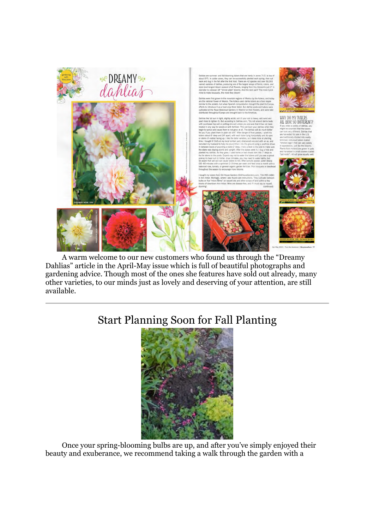

A warm welcome to our new customers who found us through the "Dreamy Dahlias" article in the April-May issue which is full of beautiful photographs and gardening advice. Though most of the ones she features have sold out already, many other varieties, to our minds just as lovely and deserving of your attention, are still available.

# Start Planning Soon for Fall Planting



Once your spring-blooming bulbs are up, and after you've simply enjoyed their beauty and exuberance, we recommend taking a walk through the garden with a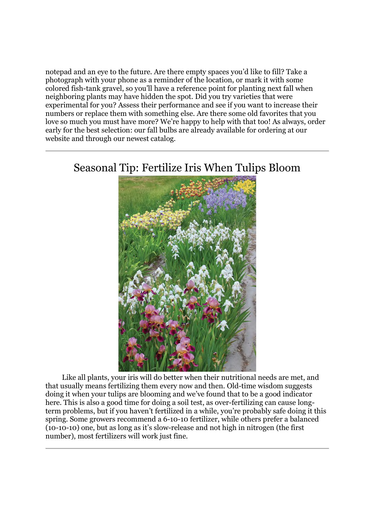notepad and an eye to the future. Are there empty spaces you'd like to fill? Take a photograph with your phone as a reminder of the location, or mark it with some colored fish-tank gravel, so you'll have a reference point for planting next fall when neighboring plants may have hidden the spot. Did you try varieties that were experimental for you? Assess their performance and see if you want to increase their numbers or replace them with something else. Are there some old favorites that you love so much you must have more? We're happy to help with that too! As always, order early for the best selection: our fall bulbs are already available for ordering at our website and through our newest catalog.

### Seasonal Tip: Fertilize Iris When Tulips Bloom



Like all plants, your iris will do better when their nutritional needs are met, and that usually means fertilizing them every now and then. Old-time wisdom suggests doing it when your tulips are blooming and we've found that to be a good indicator here. This is also a good time for doing a soil test, as over-fertilizing can cause longterm problems, but if you haven't fertilized in a while, you're probably safe doing it this spring. Some growers recommend a 6-10-10 fertilizer, while others prefer a balanced (10-10-10) one, but as long as it's slow-release and not high in nitrogen (the first number), most fertilizers will work just fine.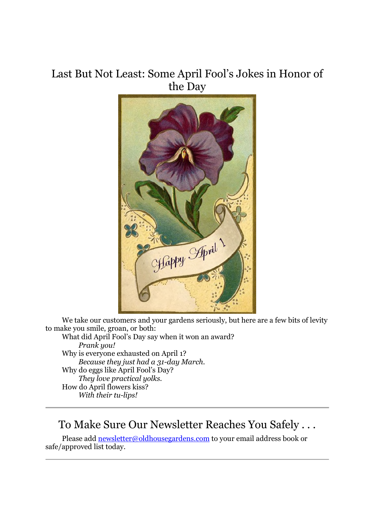## Last But Not Least: Some April Fool's Jokes in Honor of the Day



We take our customers and your gardens seriously, but here are a few bits of levity to make you smile, groan, or both:

What did April Fool's Day say when it won an award? *Prank you!* Why is everyone exhausted on April 1? *Because they just had a 31-day March.* Why do eggs like April Fool's Day? *They love practical yolks.* How do April flowers kiss? *With their tu-lips!*

### To Make Sure Our Newsletter Reaches You Safely . . .

Please add newsletter@oldhousegardens.com to your email address book or safe/approved list today.